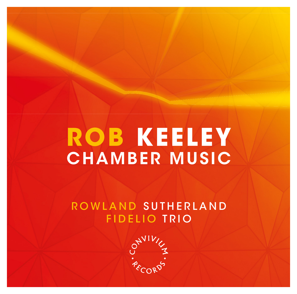# **ROB KEELEY** CHAMBER MUSIC

# ROWLAND SUTHERLAND FIDELIO TRIO

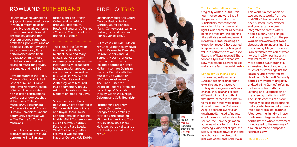# ROWLAND SUTHERLAND FIDELIO TRIO

Flautist Rowland Sutherland enjoys an international career in many different fields of music. He regularly performs in new music and classical ensembles, jazz and non-Western groups, symphony orchestras, pop outfits and as a soloist. Many of Rowland's solo contemporary flute performances have been broadcast on BBC Radio 3. He has composed and arranged music for groups, ensembles and the BBC.

Rowland tutors at the Trinity College of Music, Guildhall School of Music & Drama and Royal Northern College of Music. As an educator he has given consultations, workshops and/or coached at the Trinity College of Music, RAM, Birmingham Conservatoire, York, Sussex, Durham Universities, various community centres as well as The Centre for Young **Musicians** 

Roland fronts his own band, critically acclaimed Mistura, performing Brazilian jazz

fusion alongside African-Cuban and pan African grooves. Their album, Rowland Sutherland's Mistura - 'Coast to Coast' is out now on the FMR label

The Fidelio Trio (Darragh Morgan, violin, Robin Michael, cello and Mary Dullea, piano) perform extremely diverse repertoire internationally. Broadcasts include regular appearances on BBC Radio 3 as well as RTÉ Lyric FM, WNYC and Radio New Zealand. In 2010 they were featured in a documentary on Sky Arts with broadcaster Katie Derham entitled First Love.

Since their South Bank debut they have appeared at Wigmore Hall, Kings Place and Royal Opera House, London, festivals including Huddersfield Contemporary Music Festival, Brighton Festival and Fuse Leeds, West Cork Music, Belfast Festival at Queens and **National Concert Hall, Dublin** 

Shanghai Oriental Arts Centre, Casa da Musica (Porto), Centre Culturel Irlandais (Paris), Contemporaneamente Festival, Lodi and Palazzo Albrizzi, Venice (Italy).

CD releases include Bulb on NMC featuring trios by Kevin Volans, Donnacha Dennehy, Deirdre Gribbin and Ed Bennett, Metamorphoses, the chamber music of Icelandic composer Haflidi Hallgrimsson, on Delphian Records, Bartlebooth, the music of Joe Cutler, on NMC and most recently, The Piano Tuner for Delphian Records (premiere recordings of Scottish trios by Judith Weir, Nigel Osborne and Sally Beamish).

Forthcoming are From Vienna (Schoenberg, Korngold and Zemlinsky) for Naxos, the complete Michael Nyman Piano Trios for MN Records, a Piers Hellawell portrait disc and a Rob Keeley portrait disc for NMC



Trio for flute, cello and piano Originally written in 2002, this four-movement work, like all the pieces on this disc, was substantially revised for this recording. It has a somewhat light, Gallic character, as perhaps befits the medium: the opening Allegretto is a sonata movement in fast triple time, including an exposition repeat (I have started to appreciate the psychological value to performers as well as to listeners, of literal repeats!) There follows a lyrical and expansive slow movement, a serenade-like waltz, and a fast, mercurial finale Sonata for violin and piano

This was originally written in 1998 but has since undergone extensive and protracted rewriting. As one grows, one's ears change, they hear and expect different things. I like to think that I have learned in the interim to make the notes 'work harder.' A broad, somewhat Brahmsian Allegro opens this Sonata: an unashamedly melodic Andante enfolds a more rhetorical central section, the Finale begins as an aqueous lullaby, turning into a scurrying, exuberant Allegro: the lullaby is recalled towards the end as a chorale in the piano, with pizzicato comments in the violin

### Piano Trio

This work is a conflation of two separate works from the mid-90's: 'dead wood' has been subsequently excised and contrasts have been integrated to create what I hope is a convincing single work: composers from the past wouldn't have thought twice about such an undertaking. So, the opening Allegro moderato is an extensive revision of what I wrote in 1994, particularly in textural terms: it is also now more concise, although still expansive (I heard and wrote much of this work against the 'background' of the trios of Haydn and Schubert). Secondly comes a movement originally entitled 'Mind Games', referring to the complex rhythmic layering and juxtaposition of the opening rhythmic motif. The Finale consists of a slow, intensely elegiac, heterophonic melody which eventually thaws into a more relaxed, diatonic Allegretto, the first time I have made use of large-scale tonal contrasts: the whole movement is dedicated to the memory of a much-admired composer, Nicholas Maw

### ROB KEELEY